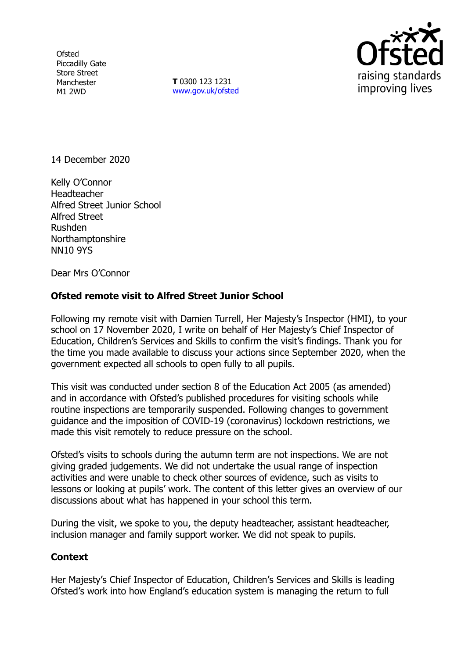**Ofsted** Piccadilly Gate Store Street Manchester M1 2WD

**T** 0300 123 1231 [www.gov.uk/ofsted](http://www.gov.uk/ofsted)



14 December 2020

Kelly O'Connor **Headteacher** Alfred Street Junior School Alfred Street Rushden Northamptonshire NN10 9YS

Dear Mrs O'Connor

## **Ofsted remote visit to Alfred Street Junior School**

Following my remote visit with Damien Turrell, Her Majesty's Inspector (HMI), to your school on 17 November 2020, I write on behalf of Her Majesty's Chief Inspector of Education, Children's Services and Skills to confirm the visit's findings. Thank you for the time you made available to discuss your actions since September 2020, when the government expected all schools to open fully to all pupils.

This visit was conducted under section 8 of the Education Act 2005 (as amended) and in accordance with Ofsted's published procedures for visiting schools while routine inspections are temporarily suspended. Following changes to government guidance and the imposition of COVID-19 (coronavirus) lockdown restrictions, we made this visit remotely to reduce pressure on the school.

Ofsted's visits to schools during the autumn term are not inspections. We are not giving graded judgements. We did not undertake the usual range of inspection activities and were unable to check other sources of evidence, such as visits to lessons or looking at pupils' work. The content of this letter gives an overview of our discussions about what has happened in your school this term.

During the visit, we spoke to you, the deputy headteacher, assistant headteacher, inclusion manager and family support worker. We did not speak to pupils.

## **Context**

Her Majesty's Chief Inspector of Education, Children's Services and Skills is leading Ofsted's work into how England's education system is managing the return to full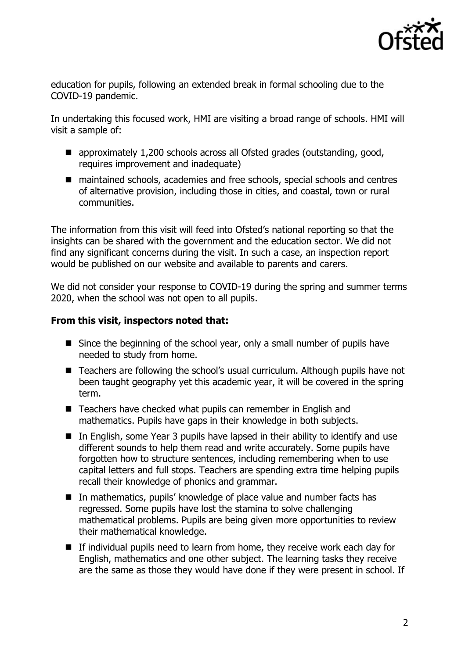

education for pupils, following an extended break in formal schooling due to the COVID-19 pandemic.

In undertaking this focused work, HMI are visiting a broad range of schools. HMI will visit a sample of:

- approximately 1,200 schools across all Ofsted grades (outstanding, good, requires improvement and inadequate)
- maintained schools, academies and free schools, special schools and centres of alternative provision, including those in cities, and coastal, town or rural communities.

The information from this visit will feed into Ofsted's national reporting so that the insights can be shared with the government and the education sector. We did not find any significant concerns during the visit. In such a case, an inspection report would be published on our website and available to parents and carers.

We did not consider your response to COVID-19 during the spring and summer terms 2020, when the school was not open to all pupils.

## **From this visit, inspectors noted that:**

- Since the beginning of the school year, only a small number of pupils have needed to study from home.
- Teachers are following the school's usual curriculum. Although pupils have not been taught geography yet this academic year, it will be covered in the spring term.
- Teachers have checked what pupils can remember in English and mathematics. Pupils have gaps in their knowledge in both subjects.
- In English, some Year 3 pupils have lapsed in their ability to identify and use different sounds to help them read and write accurately. Some pupils have forgotten how to structure sentences, including remembering when to use capital letters and full stops. Teachers are spending extra time helping pupils recall their knowledge of phonics and grammar.
- In mathematics, pupils' knowledge of place value and number facts has regressed. Some pupils have lost the stamina to solve challenging mathematical problems. Pupils are being given more opportunities to review their mathematical knowledge.
- $\blacksquare$  If individual pupils need to learn from home, they receive work each day for English, mathematics and one other subject. The learning tasks they receive are the same as those they would have done if they were present in school. If